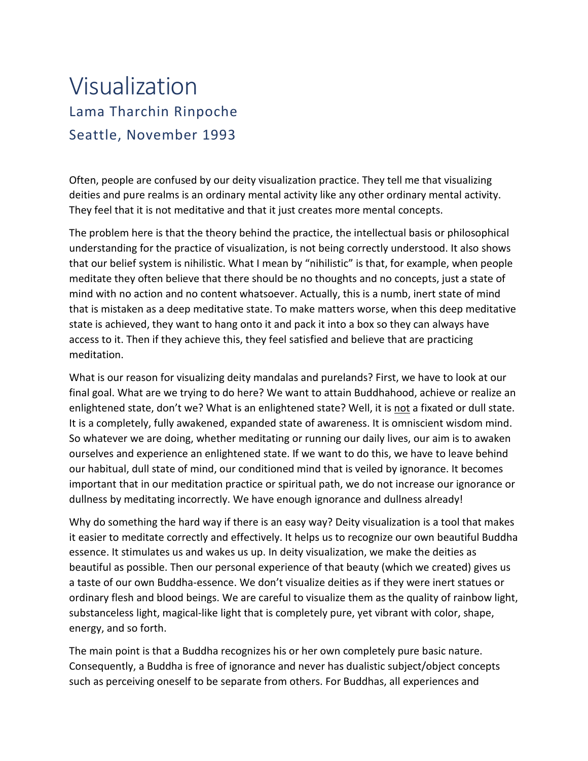## Visualization Lama Tharchin Rinpoche Seattle, November 1993

Often, people are confused by our deity visualization practice. They tell me that visualizing deities and pure realms is an ordinary mental activity like any other ordinary mental activity. They feel that it is not meditative and that it just creates more mental concepts.

The problem here is that the theory behind the practice, the intellectual basis or philosophical understanding for the practice of visualization, is not being correctly understood. It also shows that our belief system is nihilistic. What I mean by "nihilistic" is that, for example, when people meditate they often believe that there should be no thoughts and no concepts, just a state of mind with no action and no content whatsoever. Actually, this is a numb, inert state of mind that is mistaken as a deep meditative state. To make matters worse, when this deep meditative state is achieved, they want to hang onto it and pack it into a box so they can always have access to it. Then if they achieve this, they feel satisfied and believe that are practicing meditation.

What is our reason for visualizing deity mandalas and purelands? First, we have to look at our final goal. What are we trying to do here? We want to attain Buddhahood, achieve or realize an enlightened state, don't we? What is an enlightened state? Well, it is not a fixated or dull state. It is a completely, fully awakened, expanded state of awareness. It is omniscient wisdom mind. So whatever we are doing, whether meditating or running our daily lives, our aim is to awaken ourselves and experience an enlightened state. If we want to do this, we have to leave behind our habitual, dull state of mind, our conditioned mind that is veiled by ignorance. It becomes important that in our meditation practice or spiritual path, we do not increase our ignorance or dullness by meditating incorrectly. We have enough ignorance and dullness already!

Why do something the hard way if there is an easy way? Deity visualization is a tool that makes it easier to meditate correctly and effectively. It helps us to recognize our own beautiful Buddha essence. It stimulates us and wakes us up. In deity visualization, we make the deities as beautiful as possible. Then our personal experience of that beauty (which we created) gives us a taste of our own Buddha-essence. We don't visualize deities as if they were inert statues or ordinary flesh and blood beings. We are careful to visualize them as the quality of rainbow light, substanceless light, magical-like light that is completely pure, yet vibrant with color, shape, energy, and so forth.

The main point is that a Buddha recognizes his or her own completely pure basic nature. Consequently, a Buddha is free of ignorance and never has dualistic subject/object concepts such as perceiving oneself to be separate from others. For Buddhas, all experiences and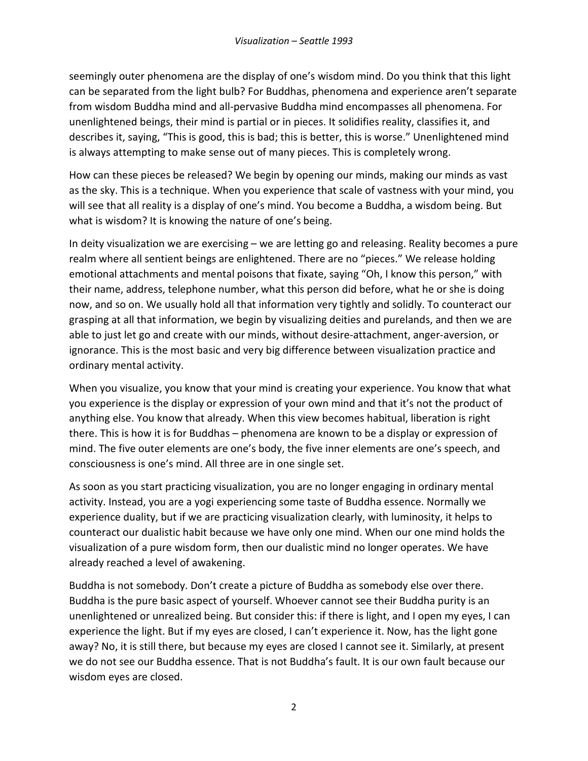seemingly outer phenomena are the display of one's wisdom mind. Do you think that this light can be separated from the light bulb? For Buddhas, phenomena and experience aren't separate from wisdom Buddha mind and all-pervasive Buddha mind encompasses all phenomena. For unenlightened beings, their mind is partial or in pieces. It solidifies reality, classifies it, and describes it, saying, "This is good, this is bad; this is better, this is worse." Unenlightened mind is always attempting to make sense out of many pieces. This is completely wrong.

How can these pieces be released? We begin by opening our minds, making our minds as vast as the sky. This is a technique. When you experience that scale of vastness with your mind, you will see that all reality is a display of one's mind. You become a Buddha, a wisdom being. But what is wisdom? It is knowing the nature of one's being.

In deity visualization we are exercising – we are letting go and releasing. Reality becomes a pure realm where all sentient beings are enlightened. There are no "pieces." We release holding emotional attachments and mental poisons that fixate, saying "Oh, I know this person," with their name, address, telephone number, what this person did before, what he or she is doing now, and so on. We usually hold all that information very tightly and solidly. To counteract our grasping at all that information, we begin by visualizing deities and purelands, and then we are able to just let go and create with our minds, without desire-attachment, anger-aversion, or ignorance. This is the most basic and very big difference between visualization practice and ordinary mental activity.

When you visualize, you know that your mind is creating your experience. You know that what you experience is the display or expression of your own mind and that it's not the product of anything else. You know that already. When this view becomes habitual, liberation is right there. This is how it is for Buddhas – phenomena are known to be a display or expression of mind. The five outer elements are one's body, the five inner elements are one's speech, and consciousness is one's mind. All three are in one single set.

As soon as you start practicing visualization, you are no longer engaging in ordinary mental activity. Instead, you are a yogi experiencing some taste of Buddha essence. Normally we experience duality, but if we are practicing visualization clearly, with luminosity, it helps to counteract our dualistic habit because we have only one mind. When our one mind holds the visualization of a pure wisdom form, then our dualistic mind no longer operates. We have already reached a level of awakening.

Buddha is not somebody. Don't create a picture of Buddha as somebody else over there. Buddha is the pure basic aspect of yourself. Whoever cannot see their Buddha purity is an unenlightened or unrealized being. But consider this: if there is light, and I open my eyes, I can experience the light. But if my eyes are closed, I can't experience it. Now, has the light gone away? No, it is still there, but because my eyes are closed I cannot see it. Similarly, at present we do not see our Buddha essence. That is not Buddha's fault. It is our own fault because our wisdom eyes are closed.